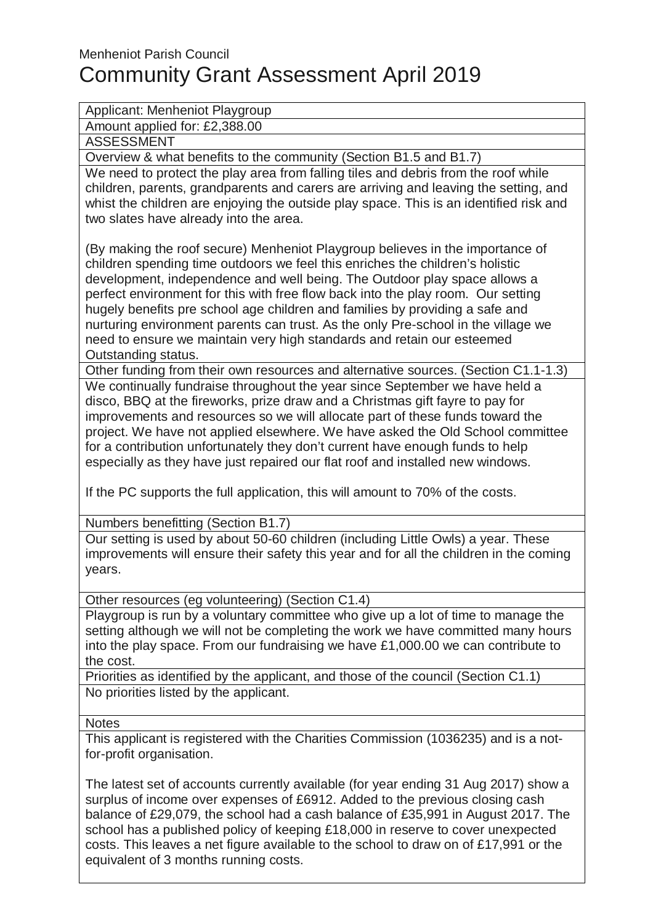## Menheniot Parish Council Community Grant Assessment April 2019

## Applicant: Menheniot Playgroup

Amount applied for: £2,388.00

ASSESSMENT

Overview & what benefits to the community (Section B1.5 and B1.7)

We need to protect the play area from falling tiles and debris from the roof while children, parents, grandparents and carers are arriving and leaving the setting, and whist the children are enjoying the outside play space. This is an identified risk and two slates have already into the area.

(By making the roof secure) Menheniot Playgroup believes in the importance of children spending time outdoors we feel this enriches the children's holistic development, independence and well being. The Outdoor play space allows a perfect environment for this with free flow back into the play room. Our setting hugely benefits pre school age children and families by providing a safe and nurturing environment parents can trust. As the only Pre-school in the village we need to ensure we maintain very high standards and retain our esteemed Outstanding status.

Other funding from their own resources and alternative sources. (Section C1.1-1.3) We continually fundraise throughout the year since September we have held a disco, BBQ at the fireworks, prize draw and a Christmas gift fayre to pay for improvements and resources so we will allocate part of these funds toward the project. We have not applied elsewhere. We have asked the Old School committee for a contribution unfortunately they don't current have enough funds to help especially as they have just repaired our flat roof and installed new windows.

If the PC supports the full application, this will amount to 70% of the costs.

Numbers benefitting (Section B1.7)

Our setting is used by about 50-60 children (including Little Owls) a year. These improvements will ensure their safety this year and for all the children in the coming years.

Other resources (eg volunteering) (Section C1.4)

Playgroup is run by a voluntary committee who give up a lot of time to manage the setting although we will not be completing the work we have committed many hours into the play space. From our fundraising we have £1,000.00 we can contribute to the cost.

Priorities as identified by the applicant, and those of the council (Section C1.1) No priorities listed by the applicant.

## **Notes**

This applicant is registered with the Charities Commission (1036235) and is a notfor-profit organisation.

The latest set of accounts currently available (for year ending 31 Aug 2017) show a surplus of income over expenses of £6912. Added to the previous closing cash balance of £29,079, the school had a cash balance of £35,991 in August 2017. The school has a published policy of keeping £18,000 in reserve to cover unexpected costs. This leaves a net figure available to the school to draw on of £17,991 or the equivalent of 3 months running costs.